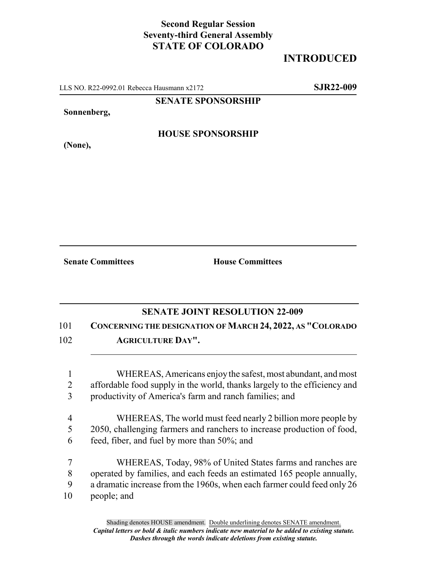# **Second Regular Session Seventy-third General Assembly STATE OF COLORADO**

# **INTRODUCED**

LLS NO. R22-0992.01 Rebecca Hausmann x2172 **SJR22-009**

### **SENATE SPONSORSHIP**

#### **Sonnenberg,**

## **HOUSE SPONSORSHIP**

**(None),**

**Senate Committees House Committees** 

## **SENATE JOINT RESOLUTION 22-009**

# 101 **CONCERNING THE DESIGNATION OF MARCH 24, 2022, AS "COLORADO**

102 **AGRICULTURE DAY".**

1 WHEREAS, Americans enjoy the safest, most abundant, and most 2 affordable food supply in the world, thanks largely to the efficiency and 3 productivity of America's farm and ranch families; and

- 4 WHEREAS, The world must feed nearly 2 billion more people by 5 2050, challenging farmers and ranchers to increase production of food, 6 feed, fiber, and fuel by more than 50%; and
- 7 WHEREAS, Today, 98% of United States farms and ranches are 8 operated by families, and each feeds an estimated 165 people annually, 9 a dramatic increase from the 1960s, when each farmer could feed only 26 10 people; and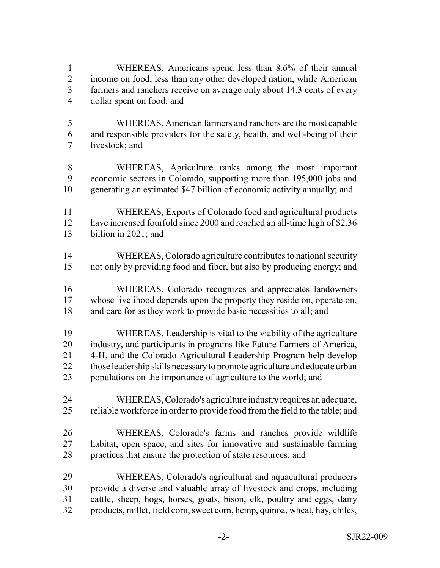WHEREAS, Americans spend less than 8.6% of their annual income on food, less than any other developed nation, while American farmers and ranchers receive on average only about 14.3 cents of every dollar spent on food; and

- WHEREAS, American farmers and ranchers are the most capable and responsible providers for the safety, health, and well-being of their livestock; and
- WHEREAS, Agriculture ranks among the most important economic sectors in Colorado, supporting more than 195,000 jobs and generating an estimated \$47 billion of economic activity annually; and
- WHEREAS, Exports of Colorado food and agricultural products 12 have increased fourfold since 2000 and reached an all-time high of \$2.36 billion in 2021; and
- WHEREAS, Colorado agriculture contributes to national security not only by providing food and fiber, but also by producing energy; and
- WHEREAS, Colorado recognizes and appreciates landowners whose livelihood depends upon the property they reside on, operate on, 18 and care for as they work to provide basic necessities to all; and
- WHEREAS, Leadership is vital to the viability of the agriculture industry, and participants in programs like Future Farmers of America, 4-H, and the Colorado Agricultural Leadership Program help develop 22 those leadership skills necessary to promote agriculture and educate urban populations on the importance of agriculture to the world; and
- WHEREAS, Colorado's agriculture industry requires an adequate, reliable workforce in order to provide food from the field to the table; and
- WHEREAS, Colorado's farms and ranches provide wildlife habitat, open space, and sites for innovative and sustainable farming practices that ensure the protection of state resources; and
- WHEREAS, Colorado's agricultural and aquacultural producers provide a diverse and valuable array of livestock and crops, including cattle, sheep, hogs, horses, goats, bison, elk, poultry and eggs, dairy products, millet, field corn, sweet corn, hemp, quinoa, wheat, hay, chiles,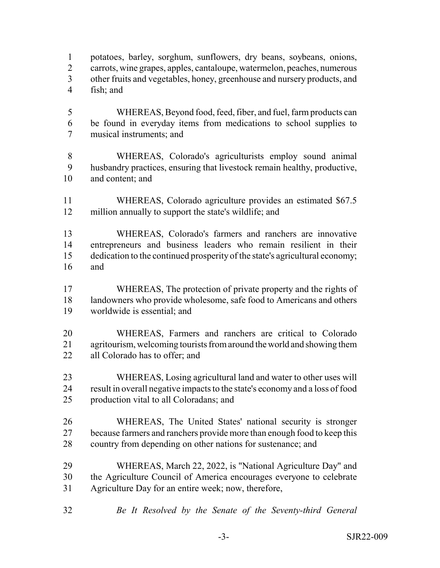potatoes, barley, sorghum, sunflowers, dry beans, soybeans, onions, carrots, wine grapes, apples, cantaloupe, watermelon, peaches, numerous other fruits and vegetables, honey, greenhouse and nursery products, and fish; and

- WHEREAS, Beyond food, feed, fiber, and fuel, farm products can be found in everyday items from medications to school supplies to musical instruments; and
- WHEREAS, Colorado's agriculturists employ sound animal husbandry practices, ensuring that livestock remain healthy, productive, and content; and
- WHEREAS, Colorado agriculture provides an estimated \$67.5 million annually to support the state's wildlife; and
- WHEREAS, Colorado's farmers and ranchers are innovative entrepreneurs and business leaders who remain resilient in their dedication to the continued prosperity of the state's agricultural economy; and
- WHEREAS, The protection of private property and the rights of 18 landowners who provide wholesome, safe food to Americans and others worldwide is essential; and
- WHEREAS, Farmers and ranchers are critical to Colorado agritourism, welcoming tourists from around the world and showing them all Colorado has to offer; and
- WHEREAS, Losing agricultural land and water to other uses will result in overall negative impacts to the state's economy and a loss of food production vital to all Coloradans; and
- WHEREAS, The United States' national security is stronger 27 because farmers and ranchers provide more than enough food to keep this 28 country from depending on other nations for sustenance; and
- WHEREAS, March 22, 2022, is "National Agriculture Day" and the Agriculture Council of America encourages everyone to celebrate Agriculture Day for an entire week; now, therefore,
- *Be It Resolved by the Senate of the Seventy-third General*